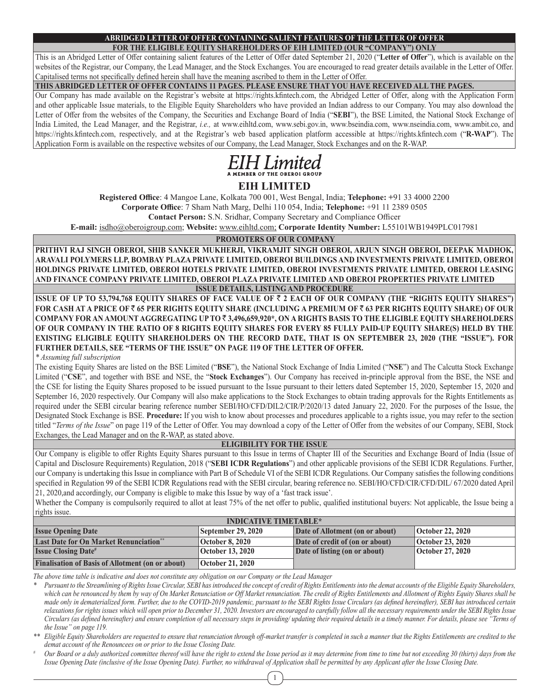# **ABRIDGED LETTER OF OFFER CONTAINING SALIENT FEATURES OF THE LETTER OF OFFER**

**FOR THE ELIGIBLE EQUITY SHAREHOLDERS OF EIH LIMITED (OUR "COMPANY") ONLY** This is an Abridged Letter of Offer containing salient features of the Letter of Offer dated September 21, 2020 ("**Letter of Offer**"), which is available on the websites of the Registrar, our Company, the Lead Manager, and the Stock Exchanges. You are encouraged to read greater details available in the Letter of Offer. Capitalised terms not specifically defined herein shall have the meaning ascribed to them in the Letter of Offer.

**THIS ABRIDGED LETTER OF OFFER CONTAINS 11 PAGES. PLEASE ENSURE THAT YOU HAVE RECEIVED ALL THE PAGES.**

Our Company has made available on the Registrar's website at https://rights.kfintech.com, the Abridged Letter of Offer, along with the Application Form and other applicable Issue materials, to the Eligible Equity Shareholders who have provided an Indian address to our Company. You may also download the Letter of Offer from the websites of the Company, the Securities and Exchange Board of India ("**SEBI**"), the BSE Limited, the National Stock Exchange of India Limited, the Lead Manager, and the Registrar, *i.e.,* at www.eihltd.com, www.sebi.gov.in, www.bseindia.com, www.nseindia.com, www.ambit.co, and https://rights.kfintech.com, respectively, and at the Registrar's web based application platform accessible at https://rights.kfintech.com ("**R-WAP**"). The Application Form is available on the respective websites of our Company, the Lead Manager, Stock Exchanges and on the R-WAP.



# **EIH LIMITED**

**Registered Office**: 4 Mangoe Lane, Kolkata 700 001, West Bengal, India; **Telephone: +**91 33 4000 2200

**Corporate Office**: 7 Sham Nath Marg, Delhi 110 054, India; **Telephone:** +91 11 2389 0505

**Contact Person:** S.N. Sridhar, Company Secretary and Compliance Officer

**E-mail:** isdho@oberoigroup.com; **Website:** www.eihltd.com; **Corporate Identity Number:** L55101WB1949PLC017981

# **PROMOTERS OF OUR COMPANY**

**PRITHVI RAJ SINGH OBEROI, SHIB SANKER MUKHERJI, VIKRAMJIT SINGH OBEROI, ARJUN SINGH OBEROI, DEEPAK MADHOK, ARAVALI POLYMERS LLP, BOMBAY PLAZA PRIVATE LIMITED, OBEROI BUILDINGS AND INVESTMENTS PRIVATE LIMITED, OBEROI HOLDINGS PRIVATE LIMITED, OBEROI HOTELS PRIVATE LIMITED, OBEROI INVESTMENTS PRIVATE LIMITED, OBEROI LEASING AND FINANCE COMPANY PRIVATE LIMITED, OBEROI PLAZA PRIVATE LIMITED AND OBEROI PROPERTIES PRIVATE LIMITED ISSUE DETAILS, LISTING AND PROCEDURE**

**ISSUE OF UP TO 53,794,768 EQUITY SHARES OF FACE VALUE OF** ` **2 EACH OF OUR COMPANY (THE "RIGHTS EQUITY SHARES") FOR CASH AT A PRICE OF** ` **65 PER RIGHTS EQUITY SHARE (INCLUDING A PREMIUM OF** ` **63 PER RIGHTS EQUITY SHARE) OF OUR COMPANY FOR AN AMOUNT AGGREGATING UP TO** ` **3,496,659,920\*, ON A RIGHTS BASIS TO THE ELIGIBLE EQUITY SHAREHOLDERS OF OUR COMPANY IN THE RATIO OF 8 RIGHTS EQUITY SHARES FOR EVERY 85 FULLY PAID-UP EQUITY SHARE(S) HELD BY THE EXISTING ELIGIBLE EQUITY SHAREHOLDERS ON THE RECORD DATE, THAT IS ON SEPTEMBER 23, 2020 (THE "ISSUE"). FOR FURTHER DETAILS, SEE "TERMS OF THE ISSUE" ON PAGE 119 OF THE LETTER OF OFFER.**

*\* Assuming full subscription*

The existing Equity Shares are listed on the BSE Limited ("**BSE**"), the National Stock Exchange of India Limited ("**NSE**") and The Calcutta Stock Exchange Limited ("**CSE**", and together with BSE and NSE, the "**Stock Exchanges**"). Our Company has received in-principle approval from the BSE, the NSE and the CSE for listing the Equity Shares proposed to be issued pursuant to the Issue pursuant to their letters dated September 15, 2020, September 15, 2020 and September 16, 2020 respectively. Our Company will also make applications to the Stock Exchanges to obtain trading approvals for the Rights Entitlements as required under the SEBI circular bearing reference number SEBI/HO/CFD/DIL2/CIR/P/2020/13 dated January 22, 2020. For the purposes of the Issue, the Designated Stock Exchange is BSE. **Procedure:** If you wish to know about processes and procedures applicable to a rights issue, you may refer to the section titled "*Terms of the Issue*" on page 119 of the Letter of Offer. You may download a copy of the Letter of Offer from the websites of our Company, SEBI, Stock Exchanges, the Lead Manager and on the R-WAP, as stated above.

# **ELIGIBILITY FOR THE ISSUE**

Our Company is eligible to offer Rights Equity Shares pursuant to this Issue in terms of Chapter III of the Securities and Exchange Board of India (Issue of Capital and Disclosure Requirements) Regulation, 2018 ("**SEBI ICDR Regulations**") and other applicable provisions of the SEBI ICDR Regulations. Further, our Company is undertaking this Issue in compliance with Part B of Schedule VI of the SEBI ICDR Regulations. Our Company satisfies the following conditions specified in Regulation 99 of the SEBI ICDR Regulations read with the SEBI circular, bearing reference no. SEBI/HO/CFD/CIR/CFD/DIL/ 67/2020 dated April 21, 2020,and accordingly, our Company is eligible to make this Issue by way of a 'fast track issue'.

Whether the Company is compulsorily required to allot at least 75% of the net offer to public, qualified institutional buyers: Not applicable, the Issue being a rights issue.

| <b>INDICATIVE TIMETABLE*</b>                            |                                 |                                 |                  |  |  |
|---------------------------------------------------------|---------------------------------|---------------------------------|------------------|--|--|
| <b>Issue Opening Date</b><br>  September 29, 2020       | Date of Allotment (on or about) | October 22, 2020                |                  |  |  |
| <b>Last Date for On Market Renunciation**</b>           | October 8, 2020                 | Date of credit of (on or about) | October 23, 2020 |  |  |
| <b>Issue Closing Date#</b>                              | October 13, 2020                | Date of listing (on or about)   | October 27, 2020 |  |  |
| <b>Finalisation of Basis of Allotment (on or about)</b> | October 21, 2020                |                                 |                  |  |  |

*The above time table is indicative and does not constitute any obligation on our Company or the Lead Manager*

*\* Pursuant to the Streamlining of Rights Issue Circular, SEBI has introduced the concept of credit of Rights Entitlements into the demat accounts of the Eligible Equity Shareholders,*  which can be renounced by them by way of On Market Renunciation or Off Market renunciation. The credit of Rights Entitlements and Allotment of Rights Equity Shares shall be *made only in dematerialized form. Further, due to the COVID-2019 pandemic, pursuant to the SEBI Rights Issue Circulars (as defined hereinafter), SEBI has introduced certain relaxations for rights issues which will open prior to December 31, 2020. Investors are encouraged to carefully follow all the necessary requirements under the SEBI Rights Issue Circulars (as defined hereinafter) and ensure completion of all necessary steps in providing/ updating their required details in a timely manner. For details, please see "Terms of the Issue" on page 119.*

\*\* Eligible Equity Shareholders are requested to ensure that renunciation through off-market transfer is completed in such a manner that the Rights Entitlements are credited to the *demat account of the Renouncees on or prior to the Issue Closing Date.*

*# Our Board or a duly authorized committee thereof will have the right to extend the Issue period as it may determine from time to time but not exceeding 30 (thirty) days from the Issue Opening Date (inclusive of the Issue Opening Date). Further, no withdrawal of Application shall be permitted by any Applicant after the Issue Closing Date.*

1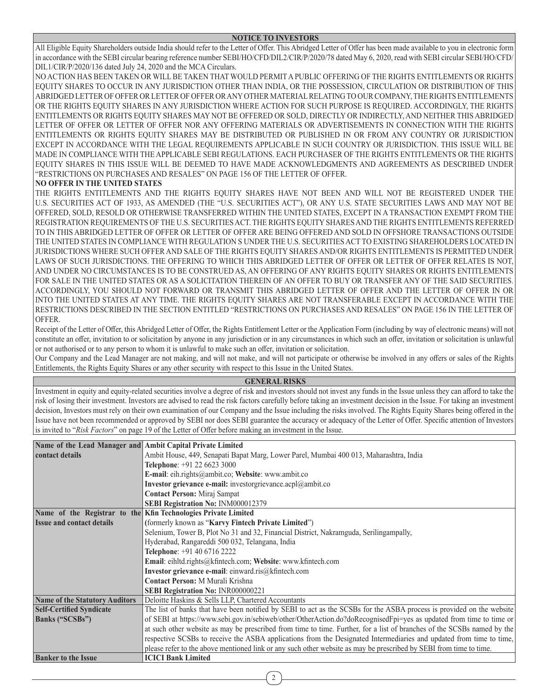All Eligible Equity Shareholders outside India should refer to the Letter of Offer. This Abridged Letter of Offer has been made available to you in electronic form in accordance with the SEBI circular bearing reference number SEBI/HO/CFD/DIL2/CIR/P/2020/78 dated May 6, 2020, read with SEBI circular SEBI/HO/CFD/ DIL1/CIR/P/2020/136 dated July 24, 2020 and the MCA Circulars.

NO ACTION HAS BEEN TAKEN OR WILL BE TAKEN THAT WOULD PERMIT A PUBLIC OFFERING OF THE RIGHTS ENTITLEMENTS OR RIGHTS EQUITY SHARES TO OCCUR IN ANY JURISDICTION OTHER THAN INDIA, OR THE POSSESSION, CIRCULATION OR DISTRIBUTION OF THIS ABRIDGED LETTER OF OFFER OR LETTER OF OFFER OR ANY OTHER MATERIAL RELATING TO OUR COMPANY, THE RIGHTS ENTITLEMENTS OR THE RIGHTS EQUITY SHARES IN ANY JURISDICTION WHERE ACTION FOR SUCH PURPOSE IS REQUIRED. ACCORDINGLY, THE RIGHTS ENTITLEMENTS OR RIGHTS EQUITY SHARES MAY NOT BE OFFERED OR SOLD, DIRECTLY OR INDIRECTLY, AND NEITHER THIS ABRIDGED LETTER OF OFFER OR LETTER OF OFFER NOR ANY OFFERING MATERIALS OR ADVERTISEMENTS IN CONNECTION WITH THE RIGHTS ENTITLEMENTS OR RIGHTS EQUITY SHARES MAY BE DISTRIBUTED OR PUBLISHED IN OR FROM ANY COUNTRY OR JURISDICTION EXCEPT IN ACCORDANCE WITH THE LEGAL REQUIREMENTS APPLICABLE IN SUCH COUNTRY OR JURISDICTION. THIS ISSUE WILL BE MADE IN COMPLIANCE WITH THE APPLICABLE SEBI REGULATIONS. EACH PURCHASER OF THE RIGHTS ENTITLEMENTS OR THE RIGHTS EQUITY SHARES IN THIS ISSUE WILL BE DEEMED TO HAVE MADE ACKNOWLEDGMENTS AND AGREEMENTS AS DESCRIBED UNDER "RESTRICTIONS ON PURCHASES AND RESALES" ON PAGE 156 OF THE LETTER OF OFFER.

# **NO OFFER IN THE UNITED STATES**

THE RIGHTS ENTITLEMENTS AND THE RIGHTS EQUITY SHARES HAVE NOT BEEN AND WILL NOT BE REGISTERED UNDER THE U.S. SECURITIES ACT OF 1933, AS AMENDED (THE "U.S. SECURITIES ACT"), OR ANY U.S. STATE SECURITIES LAWS AND MAY NOT BE OFFERED, SOLD, RESOLD OR OTHERWISE TRANSFERRED WITHIN THE UNITED STATES, EXCEPT IN A TRANSACTION EXEMPT FROM THE REGISTRATION REQUIREMENTS OF THE U.S. SECURITIES ACT. THE RIGHTS EQUITY SHARES AND THE RIGHTS ENTITLEMENTS REFERRED TO IN THIS ABRIDGED LETTER OF OFFER OR LETTER OF OFFER ARE BEING OFFERED AND SOLD IN OFFSHORE TRANSACTIONS OUTSIDE THE UNITED STATES IN COMPLIANCE WITH REGULATION S UNDER THE U.S. SECURITIES ACT TO EXISTING SHAREHOLDERS LOCATED IN JURISDICTIONS WHERE SUCH OFFER AND SALE OF THE RIGHTS EQUITY SHARES AND/OR RIGHTS ENTITLEMENTS IS PERMITTED UNDER LAWS OF SUCH JURISDICTIONS. THE OFFERING TO WHICH THIS ABRIDGED LETTER OF OFFER OR LETTER OF OFFER RELATES IS NOT, AND UNDER NO CIRCUMSTANCES IS TO BE CONSTRUED AS, AN OFFERING OF ANY RIGHTS EQUITY SHARES OR RIGHTS ENTITLEMENTS FOR SALE IN THE UNITED STATES OR AS A SOLICITATION THEREIN OF AN OFFER TO BUY OR TRANSFER ANY OF THE SAID SECURITIES. ACCORDINGLY, YOU SHOULD NOT FORWARD OR TRANSMIT THIS ABRIDGED LETTER OF OFFER AND THE LETTER OF OFFER IN OR INTO THE UNITED STATES AT ANY TIME. THE RIGHTS EQUITY SHARES ARE NOT TRANSFERABLE EXCEPT IN ACCORDANCE WITH THE RESTRICTIONS DESCRIBED IN THE SECTION ENTITLED "RESTRICTIONS ON PURCHASES AND RESALES" ON PAGE 156 IN THE LETTER OF OFFER.

Receipt of the Letter of Offer, this Abridged Letter of Offer, the Rights Entitlement Letter or the Application Form (including by way of electronic means) will not constitute an offer, invitation to or solicitation by anyone in any jurisdiction or in any circumstances in which such an offer, invitation or solicitation is unlawful or not authorised or to any person to whom it is unlawful to make such an offer, invitation or solicitation.

Our Company and the Lead Manager are not making, and will not make, and will not participate or otherwise be involved in any offers or sales of the Rights Entitlements, the Rights Equity Shares or any other security with respect to this Issue in the United States.

#### **GENERAL RISKS**

Investment in equity and equity-related securities involve a degree of risk and investors should not invest any funds in the Issue unless they can afford to take the risk of losing their investment. Investors are advised to read the risk factors carefully before taking an investment decision in the Issue. For taking an investment decision, Investors must rely on their own examination of our Company and the Issue including the risks involved. The Rights Equity Shares being offered in the Issue have not been recommended or approved by SEBI nor does SEBI guarantee the accuracy or adequacy of the Letter of Offer. Specific attention of Investors is invited to "*Risk Factors*" on page 19 of the Letter of Offer before making an investment in the Issue.

| Name of the Lead Manager and Ambit Capital Private Limited |                                                                                                                         |  |  |  |
|------------------------------------------------------------|-------------------------------------------------------------------------------------------------------------------------|--|--|--|
| contact details                                            | Ambit House, 449, Senapati Bapat Marg, Lower Parel, Mumbai 400 013, Maharashtra, India                                  |  |  |  |
|                                                            | Telephone: +91 22 6623 3000                                                                                             |  |  |  |
|                                                            | E-mail: eih.rights@ambit.co; Website: www.ambit.co                                                                      |  |  |  |
|                                                            | Investor grievance e-mail: investorgrievance.acpl@ambit.co                                                              |  |  |  |
|                                                            | <b>Contact Person:</b> Miraj Sampat                                                                                     |  |  |  |
|                                                            | SEBI Registration No: INM000012379                                                                                      |  |  |  |
|                                                            | Name of the Registrar to the Kfin Technologies Private Limited                                                          |  |  |  |
| <b>Issue and contact details</b>                           | (formerly known as "Karvy Fintech Private Limited")                                                                     |  |  |  |
|                                                            | Selenium, Tower B, Plot No 31 and 32, Financial District, Nakramguda, Serilingampally,                                  |  |  |  |
|                                                            | Hyderabad, Rangareddi 500 032, Telangana, India                                                                         |  |  |  |
|                                                            | Telephone: +91 40 6716 2222                                                                                             |  |  |  |
|                                                            | Email: eihltd.rights@kfintech.com; Website: www.kfintech.com                                                            |  |  |  |
|                                                            | Investor grievance e-mail: einward.ris@kfintech.com                                                                     |  |  |  |
|                                                            | Contact Person: M Murali Krishna                                                                                        |  |  |  |
|                                                            | <b>SEBI Registration No: INR000000221</b>                                                                               |  |  |  |
| <b>Name of the Statutory Auditors</b>                      | Deloitte Haskins & Sells LLP, Chartered Accountants                                                                     |  |  |  |
| <b>Self-Certified Syndicate</b>                            | The list of banks that have been notified by SEBI to act as the SCSBs for the ASBA process is provided on the website   |  |  |  |
| <b>Banks ("SCSBs")</b>                                     | of SEBI at https://www.sebi.gov.in/sebiweb/other/OtherAction.do?doRecognisedFpi=yes as updated from time to time or     |  |  |  |
|                                                            | at such other website as may be prescribed from time to time. Further, for a list of branches of the SCSBs named by the |  |  |  |
|                                                            | respective SCSBs to receive the ASBA applications from the Designated Intermediaries and updated from time to time,     |  |  |  |
|                                                            | please refer to the above mentioned link or any such other website as may be prescribed by SEBI from time to time.      |  |  |  |
| <b>Banker to the Issue</b>                                 | <b>ICICI Bank Limited</b>                                                                                               |  |  |  |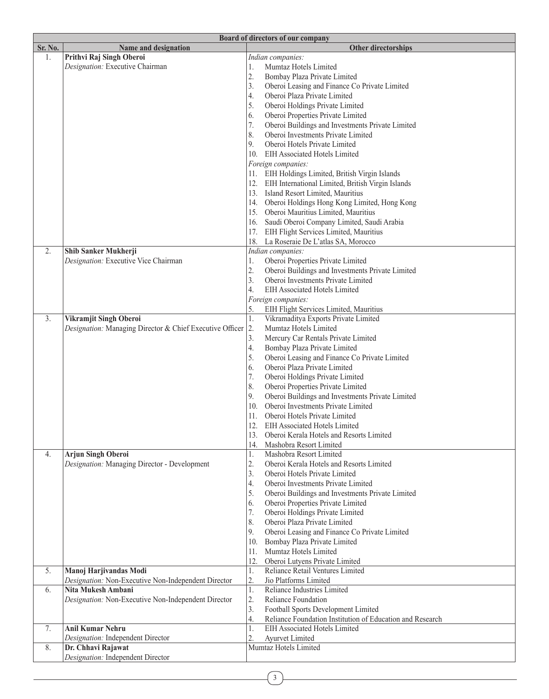|         | Board of directors of our company                        |                                                                 |  |  |
|---------|----------------------------------------------------------|-----------------------------------------------------------------|--|--|
| Sr. No. | Name and designation                                     | <b>Other directorships</b>                                      |  |  |
| 1.      | Prithvi Raj Singh Oberoi                                 | Indian companies:                                               |  |  |
|         | Designation: Executive Chairman                          | Mumtaz Hotels Limited<br>1.                                     |  |  |
|         |                                                          | 2.<br>Bombay Plaza Private Limited                              |  |  |
|         |                                                          | 3.<br>Oberoi Leasing and Finance Co Private Limited             |  |  |
|         |                                                          | Oberoi Plaza Private Limited<br>4.                              |  |  |
|         |                                                          | 5.<br>Oberoi Holdings Private Limited                           |  |  |
|         |                                                          | 6.<br>Oberoi Properties Private Limited                         |  |  |
|         |                                                          | 7.<br>Oberoi Buildings and Investments Private Limited          |  |  |
|         |                                                          | 8.<br>Oberoi Investments Private Limited                        |  |  |
|         |                                                          | 9.<br>Oberoi Hotels Private Limited                             |  |  |
|         |                                                          | 10. EIH Associated Hotels Limited                               |  |  |
|         |                                                          | Foreign companies:                                              |  |  |
|         |                                                          | 11. EIH Holdings Limited, British Virgin Islands                |  |  |
|         |                                                          | 12. EIH International Limited, British Virgin Islands           |  |  |
|         |                                                          | 13. Island Resort Limited, Mauritius                            |  |  |
|         |                                                          | 14. Oberoi Holdings Hong Kong Limited, Hong Kong                |  |  |
|         |                                                          | 15. Oberoi Mauritius Limited, Mauritius                         |  |  |
|         |                                                          | Saudi Oberoi Company Limited, Saudi Arabia<br>16.               |  |  |
|         |                                                          | 17. EIH Flight Services Limited, Mauritius                      |  |  |
|         |                                                          | 18.<br>La Roseraie De L'atlas SA, Morocco                       |  |  |
| 2.      | Shib Sanker Mukherji                                     | Indian companies:                                               |  |  |
|         | Designation: Executive Vice Chairman                     | Oberoi Properties Private Limited<br>1.                         |  |  |
|         |                                                          | 2.<br>Oberoi Buildings and Investments Private Limited          |  |  |
|         |                                                          | 3.<br>Oberoi Investments Private Limited                        |  |  |
|         |                                                          | 4.<br>EIH Associated Hotels Limited                             |  |  |
|         |                                                          | Foreign companies:                                              |  |  |
|         |                                                          | 5.<br>EIH Flight Services Limited, Mauritius                    |  |  |
| 3.      | Vikramjit Singh Oberoi                                   | $\overline{1}$ .<br>Vikramaditya Exports Private Limited        |  |  |
|         | Designation: Managing Director & Chief Executive Officer | 2.<br>Mumtaz Hotels Limited                                     |  |  |
|         |                                                          | 3.<br>Mercury Car Rentals Private Limited                       |  |  |
|         |                                                          | 4.<br>Bombay Plaza Private Limited                              |  |  |
|         |                                                          | 5.<br>Oberoi Leasing and Finance Co Private Limited             |  |  |
|         |                                                          | 6.<br>Oberoi Plaza Private Limited                              |  |  |
|         |                                                          | 7.<br>Oberoi Holdings Private Limited                           |  |  |
|         |                                                          | 8.<br>Oberoi Properties Private Limited                         |  |  |
|         |                                                          | 9.<br>Oberoi Buildings and Investments Private Limited          |  |  |
|         |                                                          | Oberoi Investments Private Limited<br>10.                       |  |  |
|         |                                                          | 11. Oberoi Hotels Private Limited                               |  |  |
|         |                                                          | 12. EIH Associated Hotels Limited                               |  |  |
|         |                                                          | 13. Oberoi Kerala Hotels and Resorts Limited                    |  |  |
|         |                                                          | 14.<br>Mashobra Resort Limited                                  |  |  |
| 4.      | <b>Arjun Singh Oberoi</b>                                | Mashobra Resort Limited<br>1.                                   |  |  |
|         | Designation: Managing Director - Development             | $\mathbf{2}$ .<br>Oberoi Kerala Hotels and Resorts Limited      |  |  |
|         |                                                          | 3.<br>Oberoi Hotels Private Limited                             |  |  |
|         |                                                          | 4.<br>Oberoi Investments Private Limited                        |  |  |
|         |                                                          | 5.<br>Oberoi Buildings and Investments Private Limited          |  |  |
|         |                                                          | Oberoi Properties Private Limited<br>6.                         |  |  |
|         |                                                          | 7.<br>Oberoi Holdings Private Limited                           |  |  |
|         |                                                          | 8.<br>Oberoi Plaza Private Limited                              |  |  |
|         |                                                          | 9.<br>Oberoi Leasing and Finance Co Private Limited             |  |  |
|         |                                                          | 10.<br>Bombay Plaza Private Limited                             |  |  |
|         |                                                          | Mumtaz Hotels Limited<br>11.                                    |  |  |
|         |                                                          | Oberoi Lutyens Private Limited<br>12.                           |  |  |
| 5.      | Manoj Harjivandas Modi                                   | Reliance Retail Ventures Limited<br>1.                          |  |  |
|         | Designation: Non-Executive Non-Independent Director      | 2.<br>Jio Platforms Limited                                     |  |  |
| 6.      | Nita Mukesh Ambani                                       | Reliance Industries Limited<br>1.                               |  |  |
|         | Designation: Non-Executive Non-Independent Director      | 2.<br>Reliance Foundation                                       |  |  |
|         |                                                          | 3.<br>Football Sports Development Limited                       |  |  |
|         |                                                          | 4.<br>Reliance Foundation Institution of Education and Research |  |  |
| 7.      | <b>Anil Kumar Nehru</b>                                  | EIH Associated Hotels Limited<br>1.                             |  |  |
|         | Designation: Independent Director                        | 2.<br>Ayurvet Limited                                           |  |  |
| 8.      | Dr. Chhavi Rajawat                                       | Mumtaz Hotels Limited                                           |  |  |
|         | Designation: Independent Director                        |                                                                 |  |  |
|         |                                                          |                                                                 |  |  |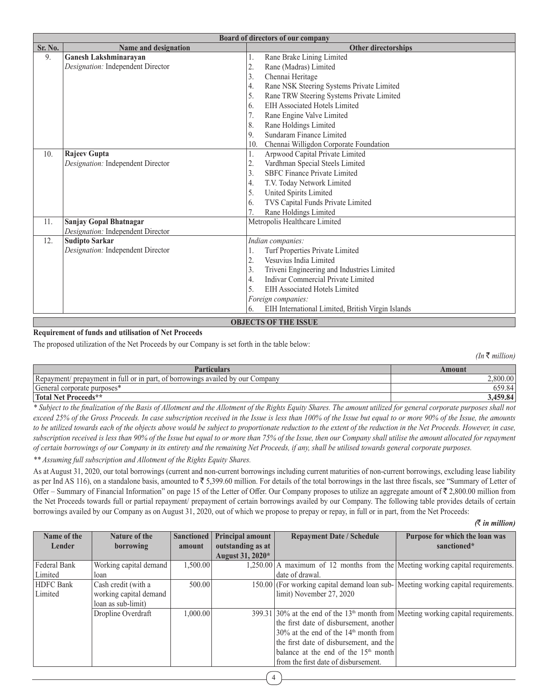|         | Board of directors of our company |                                                         |  |  |
|---------|-----------------------------------|---------------------------------------------------------|--|--|
| Sr. No. | Name and designation              | <b>Other directorships</b>                              |  |  |
| 9.      | <b>Ganesh Lakshminarayan</b>      | Rane Brake Lining Limited<br>1.                         |  |  |
|         | Designation: Independent Director | 2.<br>Rane (Madras) Limited                             |  |  |
|         |                                   | Chennai Heritage<br>3.                                  |  |  |
|         |                                   | Rane NSK Steering Systems Private Limited<br>4.         |  |  |
|         |                                   | 5.<br>Rane TRW Steering Systems Private Limited         |  |  |
|         |                                   | EIH Associated Hotels Limited<br>6.                     |  |  |
|         |                                   | 7.<br>Rane Engine Valve Limited                         |  |  |
|         |                                   | 8.<br>Rane Holdings Limited                             |  |  |
|         |                                   | Sundaram Finance Limited<br>9.                          |  |  |
|         |                                   | Chennai Willigdon Corporate Foundation<br>10.           |  |  |
| 10.     | Rajeev Gupta                      | Arpwood Capital Private Limited<br>1.                   |  |  |
|         | Designation: Independent Director | 2.<br>Vardhman Special Steels Limited                   |  |  |
|         |                                   | 3.<br><b>SBFC Finance Private Limited</b>               |  |  |
|         |                                   | 4.<br>T.V. Today Network Limited                        |  |  |
|         |                                   | 5.<br>United Spirits Limited                            |  |  |
|         |                                   | TVS Capital Funds Private Limited<br>6.                 |  |  |
|         |                                   | Rane Holdings Limited                                   |  |  |
| 11.     | <b>Sanjay Gopal Bhatnagar</b>     | Metropolis Healthcare Limited                           |  |  |
|         | Designation: Independent Director |                                                         |  |  |
| 12.     | <b>Sudipto Sarkar</b>             | Indian companies:                                       |  |  |
|         | Designation: Independent Director | Turf Properties Private Limited<br>1.                   |  |  |
|         |                                   | Vesuvius India Limited<br>2.                            |  |  |
|         |                                   | 3.<br>Triveni Engineering and Industries Limited        |  |  |
|         |                                   | Indivar Commercial Private Limited<br>$\overline{4}$ .  |  |  |
|         |                                   | 5.<br>EIH Associated Hotels Limited                     |  |  |
|         |                                   | Foreign companies:                                      |  |  |
|         |                                   | EIH International Limited, British Virgin Islands<br>6. |  |  |
|         | <b>OBJECTS OF THE ISSUE</b>       |                                                         |  |  |

## **Requirement of funds and utilisation of Net Proceeds**

The proposed utilization of the Net Proceeds by our Company is set forth in the table below:

 $(In ₹ million)$ 

| <b>Particulars</b>                                                             | Amount  |
|--------------------------------------------------------------------------------|---------|
| Repayment/ prepayment in full or in part, of borrowings availed by our Company | .800.00 |
| General corporate purposes*                                                    |         |
| Total Net Proceeds**                                                           | 459.84  |

*\* Subject to the finalization of the Basis of Allotment and the Allotment of the Rights Equity Shares. The amount utilized for general corporate purposes shall not exceed 25% of the Gross Proceeds. In case subscription received in the Issue is less than 100% of the Issue but equal to or more 90% of the Issue, the amounts*  to be utilized towards each of the objects above would be subject to proportionate reduction to the extent of the reduction in the Net Proceeds. However, in case, *subscription received is less than 90% of the Issue but equal to or more than 75% of the Issue, then our Company shall utilise the amount allocated for repayment of certain borrowings of our Company in its entirety and the remaining Net Proceeds, if any, shall be utilised towards general corporate purposes.*

*\*\* Assuming full subscription and Allotment of the Rights Equity Shares.*

As at August 31, 2020, our total borrowings (current and non-current borrowings including current maturities of non-current borrowings, excluding lease liability as per Ind AS 116), on a standalone basis, amounted to  $\overline{5}$  5,399.60 million. For details of the total borrowings in the last three fiscals, see "Summary of Letter of Offer – Summary of Financial Information" on page 15 of the Letter of Offer. Our Company proposes to utilize an aggregate amount of  $\bar{\tau}$  2,800.00 million from the Net Proceeds towards full or partial repayment/ prepayment of certain borrowings availed by our Company. The following table provides details of certain borrowings availed by our Company as on August 31, 2020, out of which we propose to prepay or repay, in full or in part, from the Net Proceeds:

*(*` *in million)*

| Name of the      | Nature of the          | Sanctioned | <b>Principal amount</b> | <b>Repayment Date / Schedule</b>                                                                 | Purpose for which the loan was |
|------------------|------------------------|------------|-------------------------|--------------------------------------------------------------------------------------------------|--------------------------------|
| Lender           | borrowing              | amount     | outstanding as at       |                                                                                                  | sanctioned*                    |
|                  |                        |            | August 31, 2020*        |                                                                                                  |                                |
| Federal Bank     | Working capital demand | 1,500.00   |                         | $1,250.00$ A maximum of 12 months from the Meeting working capital requirements.                 |                                |
| Limited          | loan                   |            |                         | date of drawal.                                                                                  |                                |
| <b>HDFC</b> Bank | Cash credit (with a    | 500.00     |                         | 150.00 (For working capital demand loan sub- Meeting working capital requirements.               |                                |
| Limited          | working capital demand |            |                         | limit) November 27, 2020                                                                         |                                |
|                  | loan as sub-limit)     |            |                         |                                                                                                  |                                |
|                  | Dropline Overdraft     | 1,000.00   |                         | $399.31$ 30% at the end of the 13 <sup>th</sup> month from Meeting working capital requirements. |                                |
|                  |                        |            |                         | the first date of disbursement, another                                                          |                                |
|                  |                        |            |                         | $30\%$ at the end of the $14th$ month from                                                       |                                |
|                  |                        |            |                         | the first date of disbursement, and the                                                          |                                |
|                  |                        |            |                         | balance at the end of the $15th$ month                                                           |                                |
|                  |                        |            |                         | from the first date of disbursement.                                                             |                                |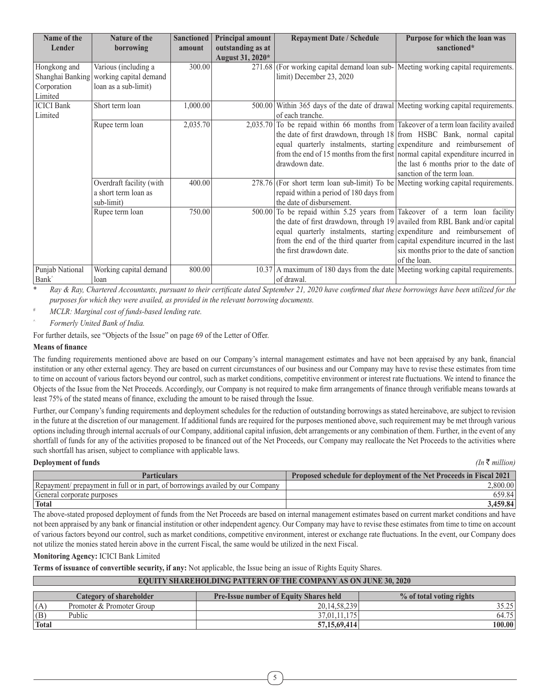| Name of the       | <b>Nature of the</b>     | Sanctioned | Principal amount  | <b>Repayment Date / Schedule</b>                                                     | Purpose for which the loan was                                                  |
|-------------------|--------------------------|------------|-------------------|--------------------------------------------------------------------------------------|---------------------------------------------------------------------------------|
| Lender            | borrowing                | amount     | outstanding as at |                                                                                      | sanctioned*                                                                     |
|                   |                          |            | August 31, 2020*  |                                                                                      |                                                                                 |
| Hongkong and      | Various (including a     | 300.00     |                   | 271.68 (For working capital demand loan sub- Meeting working capital requirements.   |                                                                                 |
| Shanghai Banking  | working capital demand   |            |                   | limit) December 23, 2020                                                             |                                                                                 |
| Corporation       | loan as a sub-limit)     |            |                   |                                                                                      |                                                                                 |
| Limited           |                          |            |                   |                                                                                      |                                                                                 |
| <b>ICICI</b> Bank | Short term loan          | 1,000.00   |                   | 500.00 Within 365 days of the date of drawal Meeting working capital requirements.   |                                                                                 |
| Limited           |                          |            |                   | of each tranche.                                                                     |                                                                                 |
|                   | Rupee term loan          | 2,035.70   |                   | 2,035.70 To be repaid within 66 months from Takeover of a term loan facility availed |                                                                                 |
|                   |                          |            |                   |                                                                                      | the date of first drawdown, through 18 from HSBC Bank, normal capital           |
|                   |                          |            |                   |                                                                                      | equal quarterly instalments, starting expenditure and reimbursement of          |
|                   |                          |            |                   |                                                                                      | from the end of 15 months from the first normal capital expenditure incurred in |
|                   |                          |            |                   | drawdown date.                                                                       | the last 6 months prior to the date of                                          |
|                   |                          |            |                   |                                                                                      | sanction of the term loan.                                                      |
|                   | Overdraft facility (with | 400.00     |                   | 278.76 (For short term loan sub-limit) To be Meeting working capital requirements.   |                                                                                 |
|                   | a short term loan as     |            |                   | repaid within a period of 180 days from                                              |                                                                                 |
|                   | sub-limit)               |            |                   | the date of disbursement.                                                            |                                                                                 |
|                   | Rupee term loan          | 750.00     |                   | 500.00 To be repaid within 5.25 years from Takeover of a term loan facility          |                                                                                 |
|                   |                          |            |                   |                                                                                      | the date of first drawdown, through $19$ availed from RBL Bank and/or capital   |
|                   |                          |            |                   |                                                                                      | equal quarterly instalments, starting expenditure and reimbursement of          |
|                   |                          |            |                   |                                                                                      | from the end of the third quarter from capital expenditure incurred in the last |
|                   |                          |            |                   | the first drawdown date.                                                             | six months prior to the date of sanction                                        |
|                   |                          |            |                   |                                                                                      | of the loan.                                                                    |
| Punjab National   | Working capital demand   | 800.00     |                   | $10.37$ A maximum of 180 days from the date Meeting working capital requirements.    |                                                                                 |
| Bank <sup>^</sup> | loan                     |            |                   | of drawal.                                                                           |                                                                                 |

\* *Ray & Ray, Chartered Accountants, pursuant to their certificate dated September 21, 2020 have confirmed that these borrowings have been utilized for the purposes for which they were availed, as provided in the relevant borrowing documents.*

# *MCLR: Marginal cost of funds-based lending rate.*

^ *Formerly United Bank of India.*

For further details, see "Objects of the Issue" on page 69 of the Letter of Offer.

#### **Means of finance**

The funding requirements mentioned above are based on our Company's internal management estimates and have not been appraised by any bank, financial institution or any other external agency. They are based on current circumstances of our business and our Company may have to revise these estimates from time to time on account of various factors beyond our control, such as market conditions, competitive environment or interest rate fluctuations. We intend to finance the Objects of the Issue from the Net Proceeds. Accordingly, our Company is not required to make firm arrangements of finance through verifiable means towards at least 75% of the stated means of finance, excluding the amount to be raised through the Issue.

Further, our Company's funding requirements and deployment schedules for the reduction of outstanding borrowings as stated hereinabove, are subject to revision in the future at the discretion of our management. If additional funds are required for the purposes mentioned above, such requirement may be met through various options including through internal accruals of our Company, additional capital infusion, debt arrangements or any combination of them. Further, in the event of any shortfall of funds for any of the activities proposed to be financed out of the Net Proceeds, our Company may reallocate the Net Proceeds to the activities where such shortfall has arisen, subject to compliance with applicable laws.

#### **Deployment of funds** *(In*  $\bar{\tau}$  *million) (In*  $\bar{\tau}$  *million)*

| Particulars                                                                    | <b>Proposed schedule for deployment of the Net Proceeds in Fiscal 2021</b> |
|--------------------------------------------------------------------------------|----------------------------------------------------------------------------|
| Repayment/ prepayment in full or in part, of borrowings availed by our Company |                                                                            |
| General corporate purposes                                                     |                                                                            |
| Total                                                                          | .459.84                                                                    |

The above-stated proposed deployment of funds from the Net Proceeds are based on internal management estimates based on current market conditions and have not been appraised by any bank or financial institution or other independent agency. Our Company may have to revise these estimates from time to time on account of various factors beyond our control, such as market conditions, competitive environment, interest or exchange rate fluctuations. In the event, our Company does not utilize the monies stated herein above in the current Fiscal, the same would be utilized in the next Fiscal.

#### **Monitoring Agency:** ICICI Bank Limited

**Terms of issuance of convertible security, if any:** Not applicable, the Issue being an issue of Rights Equity Shares.

# **EQUITY SHAREHOLDING PATTERN OF THE COMPANY AS ON JUNE 30, 2020**

|       | Category of shareholder   | <b>Pre-Issue number of Equity Shares held</b> | % of total voting rights |
|-------|---------------------------|-----------------------------------------------|--------------------------|
| (A)   | Promoter & Promoter Group | 20.14.58.239                                  | ن کے وال                 |
| (B)   | Public                    | 37.01.11.175                                  | 64.75                    |
| Total |                           | 57, 15, 69, 414                               | $100.00\,$               |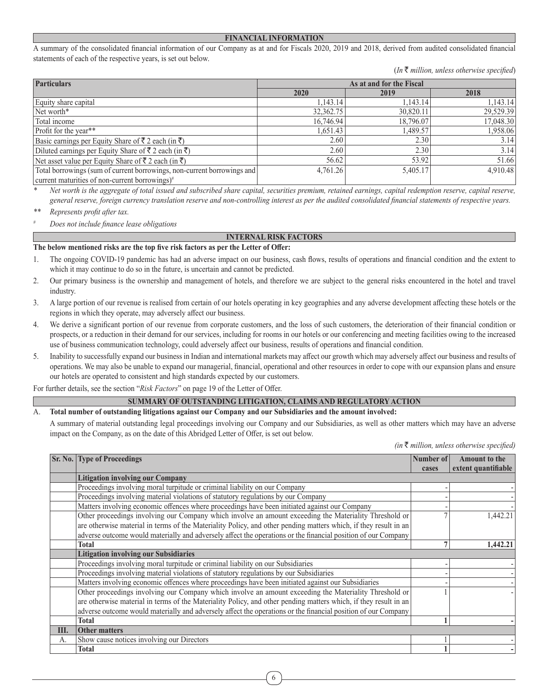#### **FINANCIAL INFORMATION**

A summary of the consolidated financial information of our Company as at and for Fiscals 2020, 2019 and 2018, derived from audited consolidated financial statements of each of the respective years, is set out below.

(*In* ` *million, unless otherwise specified*)

| <b>Particulars</b><br>As at and for the Fiscal                            |           |           |           |  |
|---------------------------------------------------------------------------|-----------|-----------|-----------|--|
|                                                                           | 2020      | 2019      | 2018      |  |
| Equity share capital                                                      | 1,143.14  | 1.143.14  | 1,143.14  |  |
| Net worth*                                                                | 32,362.75 | 30,820.11 | 29,529.39 |  |
| Total income                                                              | 16,746.94 | 18,796.07 | 17,048.30 |  |
| Profit for the year**                                                     | 1,651.43  | 1,489.57  | 1,958.06  |  |
| Basic earnings per Equity Share of ₹ 2 each (in ₹)                        | 2.60      | 2.30      | 3.14      |  |
| Diluted earnings per Equity Share of $\bar{\xi}$ 2 each (in $\bar{\xi}$ ) | 2.60      | 2.30      | 3.14      |  |
| Net asset value per Equity Share of ₹ 2 each (in ₹)                       | 56.62     | 53.92     | 51.66     |  |
| Total borrowings (sum of current borrowings, non-current borrowings and   | 4.761.26  | 5,405.17  | 4.910.48  |  |
| current maturities of non-current borrowings) <sup>#</sup>                |           |           |           |  |

*\* Net worth is the aggregate of total issued and subscribed share capital, securities premium, retained earnings, capital redemption reserve, capital reserve, general reserve, foreign currency translation reserve and non-controlling interest as per the audited consolidated financial statements of respective years.*

*\*\* Represents profit after tax.*

*# Does not include finance lease obligations*

#### **INTERNAL RISK FACTORS**

#### **The below mentioned risks are the top five risk factors as per the Letter of Offer:**

- 1. The ongoing COVID-19 pandemic has had an adverse impact on our business, cash flows, results of operations and financial condition and the extent to which it may continue to do so in the future, is uncertain and cannot be predicted.
- 2. Our primary business is the ownership and management of hotels, and therefore we are subject to the general risks encountered in the hotel and travel industry.
- 3. A large portion of our revenue is realised from certain of our hotels operating in key geographies and any adverse development affecting these hotels or the regions in which they operate, may adversely affect our business.
- 4. We derive a significant portion of our revenue from corporate customers, and the loss of such customers, the deterioration of their financial condition or prospects, or a reduction in their demand for our services, including for rooms in our hotels or our conferencing and meeting facilities owing to the increased use of business communication technology, could adversely affect our business, results of operations and financial condition.
- 5. Inability to successfully expand our business in Indian and international markets may affect our growth which may adversely affect our business and results of operations. We may also be unable to expand our managerial, financial, operational and other resources in order to cope with our expansion plans and ensure our hotels are operated to consistent and high standards expected by our customers.

For further details, see the section "*Risk Factors*" on page 19 of the Letter of Offer.

#### **SUMMARY OF OUTSTANDING LITIGATION, CLAIMS AND REGULATORY ACTION**

#### A. **Total number of outstanding litigations against our Company and our Subsidiaries and the amount involved:**

A summary of material outstanding legal proceedings involving our Company and our Subsidiaries, as well as other matters which may have an adverse impact on the Company, as on the date of this Abridged Letter of Offer, is set out below.

*(in* ` *million, unless otherwise specified)*

|      | <b>Sr. No. Type of Proceedings</b>                                                                               | Number of | <b>Amount to the</b> |
|------|------------------------------------------------------------------------------------------------------------------|-----------|----------------------|
|      |                                                                                                                  | cases     | extent quantifiable  |
|      | <b>Litigation involving our Company</b>                                                                          |           |                      |
|      | Proceedings involving moral turpitude or criminal liability on our Company                                       |           |                      |
|      | Proceedings involving material violations of statutory regulations by our Company                                |           |                      |
|      | Matters involving economic offences where proceedings have been initiated against our Company                    |           |                      |
|      | Other proceedings involving our Company which involve an amount exceeding the Materiality Threshold or           |           | .442.21              |
|      | are otherwise material in terms of the Materiality Policy, and other pending matters which, if they result in an |           |                      |
|      | adverse outcome would materially and adversely affect the operations or the financial position of our Company    |           |                      |
|      | Total                                                                                                            |           | 1.442.21             |
|      | <b>Litigation involving our Subsidiaries</b>                                                                     |           |                      |
|      | Proceedings involving moral turpitude or criminal liability on our Subsidiaries                                  |           |                      |
|      | Proceedings involving material violations of statutory regulations by our Subsidiaries                           |           |                      |
|      | Matters involving economic offences where proceedings have been initiated against our Subsidiaries               |           |                      |
|      | Other proceedings involving our Company which involve an amount exceeding the Materiality Threshold or           |           |                      |
|      | are otherwise material in terms of the Materiality Policy, and other pending matters which, if they result in an |           |                      |
|      | adverse outcome would materially and adversely affect the operations or the financial position of our Company    |           |                      |
|      | Total                                                                                                            |           |                      |
| III. | <b>Other matters</b>                                                                                             |           |                      |
| A.   | Show cause notices involving our Directors                                                                       |           |                      |
|      | Total                                                                                                            |           |                      |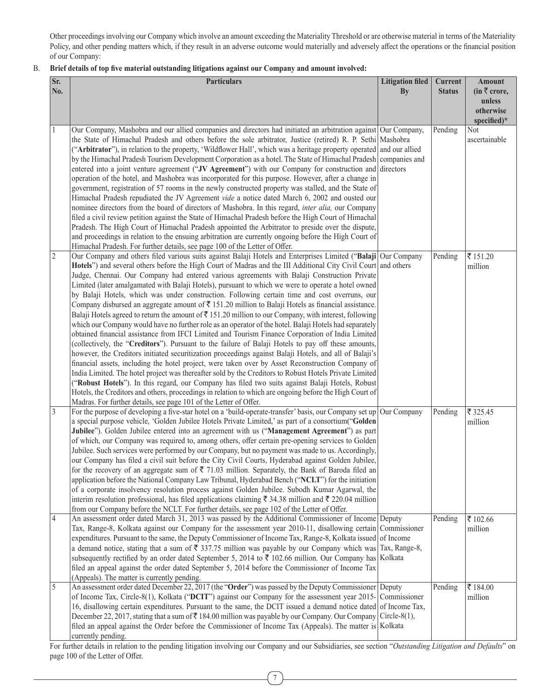Other proceedings involving our Company which involve an amount exceeding the Materiality Threshold or are otherwise material in terms of the Materiality Policy, and other pending matters which, if they result in an adverse outcome would materially and adversely affect the operations or the financial position of our Company:

## B. **Brief details of top five material outstanding litigations against our Company and amount involved:**

| Sr.<br>No.     | <b>Particulars</b>                                                                                                                                                                                                                                                                                                                                                                                                                                                                                                                                                                                                                                                                                                                                                                                                                                                                                                                                                                                                                                                                                                                                                                                                                                                                                                                                                                                                                                                                                                                                                                                                                                                                                                                                                                                                                                                                                                       | <b>Litigation filed</b><br>By | Current<br><b>Status</b> | Amount<br>$(in \bar{z}$ crore,             |
|----------------|--------------------------------------------------------------------------------------------------------------------------------------------------------------------------------------------------------------------------------------------------------------------------------------------------------------------------------------------------------------------------------------------------------------------------------------------------------------------------------------------------------------------------------------------------------------------------------------------------------------------------------------------------------------------------------------------------------------------------------------------------------------------------------------------------------------------------------------------------------------------------------------------------------------------------------------------------------------------------------------------------------------------------------------------------------------------------------------------------------------------------------------------------------------------------------------------------------------------------------------------------------------------------------------------------------------------------------------------------------------------------------------------------------------------------------------------------------------------------------------------------------------------------------------------------------------------------------------------------------------------------------------------------------------------------------------------------------------------------------------------------------------------------------------------------------------------------------------------------------------------------------------------------------------------------|-------------------------------|--------------------------|--------------------------------------------|
|                |                                                                                                                                                                                                                                                                                                                                                                                                                                                                                                                                                                                                                                                                                                                                                                                                                                                                                                                                                                                                                                                                                                                                                                                                                                                                                                                                                                                                                                                                                                                                                                                                                                                                                                                                                                                                                                                                                                                          |                               |                          | unless<br>otherwise<br>specified)*         |
|                | Our Company, Mashobra and our allied companies and directors had initiated an arbitration against Our Company,<br>the State of Himachal Pradesh and others before the sole arbitrator, Justice (retired) R. P. Sethi Mashobra<br>("Arbitrator"), in relation to the property, 'Wildflower Hall', which was a heritage property operated and our allied<br>by the Himachal Pradesh Tourism Development Corporation as a hotel. The State of Himachal Pradesh companies and<br>entered into a joint venture agreement ("JV Agreement") with our Company for construction and directors<br>operation of the hotel, and Mashobra was incorporated for this purpose. However, after a change in<br>government, registration of 57 rooms in the newly constructed property was stalled, and the State of<br>Himachal Pradesh repudiated the JV Agreement vide a notice dated March 6, 2002 and ousted our<br>nominee directors from the board of directors of Mashobra. In this regard, inter alia, our Company<br>filed a civil review petition against the State of Himachal Pradesh before the High Court of Himachal<br>Pradesh. The High Court of Himachal Pradesh appointed the Arbitrator to preside over the dispute,<br>and proceedings in relation to the ensuing arbitration are currently ongoing before the High Court of<br>Himachal Pradesh. For further details, see page 100 of the Letter of Offer.                                                                                                                                                                                                                                                                                                                                                                                                                                                                                                          |                               | Pending                  | Not<br>ascertainable                       |
| $\overline{2}$ | Our Company and others filed various suits against Balaji Hotels and Enterprises Limited ("Balaji Our Company<br>Hotels") and several others before the High Court of Madras and the III Additional City Civil Court and others<br>Judge, Chennai. Our Company had entered various agreements with Balaji Construction Private<br>Limited (later amalgamated with Balaji Hotels), pursuant to which we were to operate a hotel owned<br>by Balaji Hotels, which was under construction. Following certain time and cost overruns, our<br>Company disbursed an aggregate amount of $\bar{\tau}$ 151.20 million to Balaji Hotels as financial assistance.<br>Balaji Hotels agreed to return the amount of $\bar{\tau}$ 151.20 million to our Company, with interest, following<br>which our Company would have no further role as an operator of the hotel. Balaji Hotels had separately<br>obtained financial assistance from IFCI Limited and Tourism Finance Corporation of India Limited<br>(collectively, the "Creditors"). Pursuant to the failure of Balaji Hotels to pay off these amounts,<br>however, the Creditors initiated securitization proceedings against Balaji Hotels, and all of Balaji's<br>financial assets, including the hotel project, were taken over by Asset Reconstruction Company of<br>India Limited. The hotel project was thereafter sold by the Creditors to Robust Hotels Private Limited<br>("Robust Hotels"). In this regard, our Company has filed two suits against Balaji Hotels, Robust<br>Hotels, the Creditors and others, proceedings in relation to which are ongoing before the High Court of<br>Madras. For further details, see page 101 of the Letter of Offer.                                                                                                                                                                                                           |                               | Pending                  | ₹151.20<br>million                         |
| 3<br>4         | For the purpose of developing a five-star hotel on a 'build-operate-transfer' basis, our Company set up Our Company<br>a special purpose vehicle, 'Golden Jubilee Hotels Private Limited,' as part of a consortium("Golden<br>Jubilee"). Golden Jubilee entered into an agreement with us ("Management Agreement") as part<br>of which, our Company was required to, among others, offer certain pre-opening services to Golden<br>Jubilee. Such services were performed by our Company, but no payment was made to us. Accordingly,<br>our Company has filed a civil suit before the City Civil Courts, Hyderabad against Golden Jubilee,<br>for the recovery of an aggregate sum of $\bar{\tau}$ 71.03 million. Separately, the Bank of Baroda filed an<br>application before the National Company Law Tribunal, Hyderabad Bench ("NCLT") for the initiation<br>of a corporate insolvency resolution process against Golden Jubilee. Subodh Kumar Agarwal, the<br>interim resolution professional, has filed applications claiming $\bar{\xi}$ 34.38 million and $\bar{\xi}$ 220.04 million<br>from our Company before the NCLT. For further details, see page 102 of the Letter of Offer.<br>An assessment order dated March 31, 2013 was passed by the Additional Commissioner of Income Deputy<br>Tax, Range-8, Kolkata against our Company for the assessment year 2010-11, disallowing certain Commissioner<br>expenditures. Pursuant to the same, the Deputy Commissioner of Income Tax, Range-8, Kolkata issued of Income<br>a demand notice, stating that a sum of $\bar{\tau}$ 337.75 million was payable by our Company which was Tax, Range-8,<br>subsequently rectified by an order dated September 5, 2014 to ₹ 102.66 million. Our Company has Kolkata<br>filed an appeal against the order dated September 5, 2014 before the Commissioner of Income Tax<br>(Appeals). The matter is currently pending. |                               | Pending<br>Pending       | ₹ 325.45<br>million<br>₹ 102.66<br>million |
| 5              | An assessment order dated December 22, 2017 (the "Order") was passed by the Deputy Commissioner Deputy<br>of Income Tax, Circle-8(1), Kolkata ("DCIT") against our Company for the assessment year 2015-<br>16, disallowing certain expenditures. Pursuant to the same, the DCIT issued a demand notice dated of Income Tax,<br>December 22, 2017, stating that a sum of $\bar{\tau}$ 184.00 million was payable by our Company. Our Company Circle-8(1),<br>filed an appeal against the Order before the Commissioner of Income Tax (Appeals). The matter is Kolkata<br>currently pending.                                                                                                                                                                                                                                                                                                                                                                                                                                                                                                                                                                                                                                                                                                                                                                                                                                                                                                                                                                                                                                                                                                                                                                                                                                                                                                                              | Commissioner                  | Pending                  | ₹184.00<br>million                         |

For further details in relation to the pending litigation involving our Company and our Subsidiaries, see section "*Outstanding Litigation and Defaults*" on page 100 of the Letter of Offer.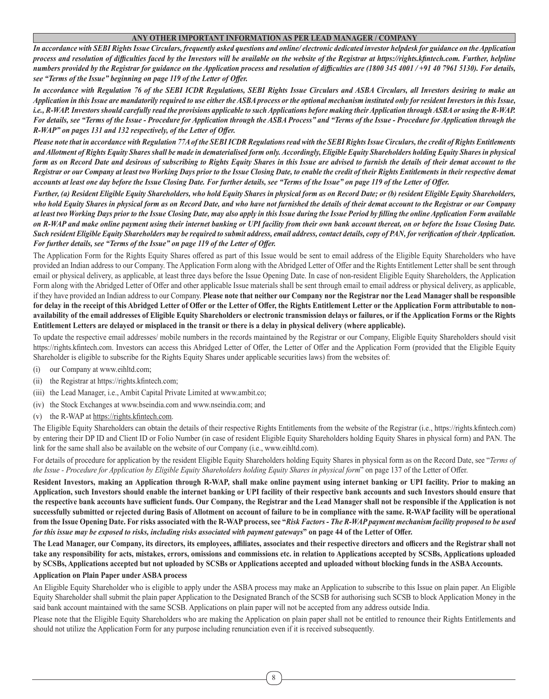#### **ANY OTHER IMPORTANT INFORMATION AS PER LEAD MANAGER / COMPANY**

*In accordance with SEBI Rights Issue Circulars, frequently asked questions and online/ electronic dedicated investor helpdesk for guidance on the Application process and resolution of difficulties faced by the Investors will be available on the website of the Registrar at https://rights.kfintech.com. Further, helpline numbers provided by the Registrar for guidance on the Application process and resolution of difficulties are (1800 345 4001 / +91 40 7961 5130). For details, see "Terms of the Issue" beginning on page 119 of the Letter of Offer.*

*In accordance with Regulation 76 of the SEBI ICDR Regulations, SEBI Rights Issue Circulars and ASBA Circulars, all Investors desiring to make an Application in this Issue are mandatorily required to use either the ASBA process or the optional mechanism instituted only for resident Investors in this Issue, i.e., R-WAP. Investors should carefully read the provisions applicable to such Applications before making their Application through ASBA or using the R-WAP. For details, see "Terms of the Issue - Procedure for Application through the ASBA Process" and "Terms of the Issue - Procedure for Application through the R-WAP" on pages 131 and 132 respectively, of the Letter of Offer.*

*Please note that in accordance with Regulation 77A of the SEBI ICDR Regulations read with the SEBI Rights Issue Circulars, the credit of Rights Entitlements and Allotment of Rights Equity Shares shall be made in dematerialised form only. Accordingly, Eligible Equity Shareholders holding Equity Shares in physical form as on Record Date and desirous of subscribing to Rights Equity Shares in this Issue are advised to furnish the details of their demat account to the Registrar or our Company at least two Working Days prior to the Issue Closing Date, to enable the credit of their Rights Entitlements in their respective demat accounts at least one day before the Issue Closing Date. For further details, see "Terms of the Issue" on page 119 of the Letter of Offer.*

*Further, (a) Resident Eligible Equity Shareholders, who hold Equity Shares in physical form as on Record Date; or (b) resident Eligible Equity Shareholders, who hold Equity Shares in physical form as on Record Date, and who have not furnished the details of their demat account to the Registrar or our Company at least two Working Days prior to the Issue Closing Date, may also apply in this Issue during the Issue Period by filling the online Application Form available on R-WAP and make online payment using their internet banking or UPI facility from their own bank account thereat, on or before the Issue Closing Date. Such resident Eligible Equity Shareholders may be required to submit address, email address, contact details, copy of PAN, for verification of their Application. For further details, see "Terms of the Issue" on page 119 of the Letter of Offer.*

The Application Form for the Rights Equity Shares offered as part of this Issue would be sent to email address of the Eligible Equity Shareholders who have provided an Indian address to our Company. The Application Form along with the Abridged Letter of Offer and the Rights Entitlement Letter shall be sent through email or physical delivery, as applicable, at least three days before the Issue Opening Date. In case of non-resident Eligible Equity Shareholders, the Application Form along with the Abridged Letter of Offer and other applicable Issue materials shall be sent through email to email address or physical delivery, as applicable, if they have provided an Indian address to our Company. **Please note that neither our Company nor the Registrar nor the Lead Manager shall be responsible**  for delay in the receipt of this Abridged Letter of Offer or the Letter of Offer, the Rights Entitlement Letter or the Application Form attributable to non**availability of the email addresses of Eligible Equity Shareholders or electronic transmission delays or failures, or if the Application Forms or the Rights Entitlement Letters are delayed or misplaced in the transit or there is a delay in physical delivery (where applicable).**

To update the respective email addresses/ mobile numbers in the records maintained by the Registrar or our Company, Eligible Equity Shareholders should visit https://rights.kfintech.com. Investors can access this Abridged Letter of Offer, the Letter of Offer and the Application Form (provided that the Eligible Equity Shareholder is eligible to subscribe for the Rights Equity Shares under applicable securities laws) from the websites of:

- (i) our Company at www.eihltd.com;
- (ii) the Registrar at https://rights.kfintech.com;
- (iii) the Lead Manager, i.e., Ambit Capital Private Limited at www.ambit.co;
- (iv) the Stock Exchanges at www.bseindia.com and www.nseindia.com; and
- (v) the R-WAP at https://rights.kfintech.com.

The Eligible Equity Shareholders can obtain the details of their respective Rights Entitlements from the website of the Registrar (i.e., https://rights.kfintech.com) by entering their DP ID and Client ID or Folio Number (in case of resident Eligible Equity Shareholders holding Equity Shares in physical form) and PAN. The link for the same shall also be available on the website of our Company (i.e., www.eihltd.com).

For details of procedure for application by the resident Eligible Equity Shareholders holding Equity Shares in physical form as on the Record Date, see "*Terms of the Issue - Procedure for Application by Eligible Equity Shareholders holding Equity Shares in physical form*" on page 137 of the Letter of Offer.

**Resident Investors, making an Application through R-WAP, shall make online payment using internet banking or UPI facility. Prior to making an Application, such Investors should enable the internet banking or UPI facility of their respective bank accounts and such Investors should ensure that the respective bank accounts have sufficient funds. Our Company, the Registrar and the Lead Manager shall not be responsible if the Application is not successfully submitted or rejected during Basis of Allotment on account of failure to be in compliance with the same. R-WAP facility will be operational from the Issue Opening Date. For risks associated with the R-WAP process, see "***Risk Factors - The R-WAP payment mechanism facility proposed to be used for this issue may be exposed to risks, including risks associated with payment gateways***" on page 44 of the Letter of Offer.**

**The Lead Manager, our Company, its directors, its employees, affiliates, associates and their respective directors and officers and the Registrar shall not take any responsibility for acts, mistakes, errors, omissions and commissions etc. in relation to Applications accepted by SCSBs, Applications uploaded by SCSBs, Applications accepted but not uploaded by SCSBs or Applications accepted and uploaded without blocking funds in the ASBA Accounts.**

#### **Application on Plain Paper under ASBA process**

An Eligible Equity Shareholder who is eligible to apply under the ASBA process may make an Application to subscribe to this Issue on plain paper. An Eligible Equity Shareholder shall submit the plain paper Application to the Designated Branch of the SCSB for authorising such SCSB to block Application Money in the said bank account maintained with the same SCSB. Applications on plain paper will not be accepted from any address outside India.

Please note that the Eligible Equity Shareholders who are making the Application on plain paper shall not be entitled to renounce their Rights Entitlements and should not utilize the Application Form for any purpose including renunciation even if it is received subsequently.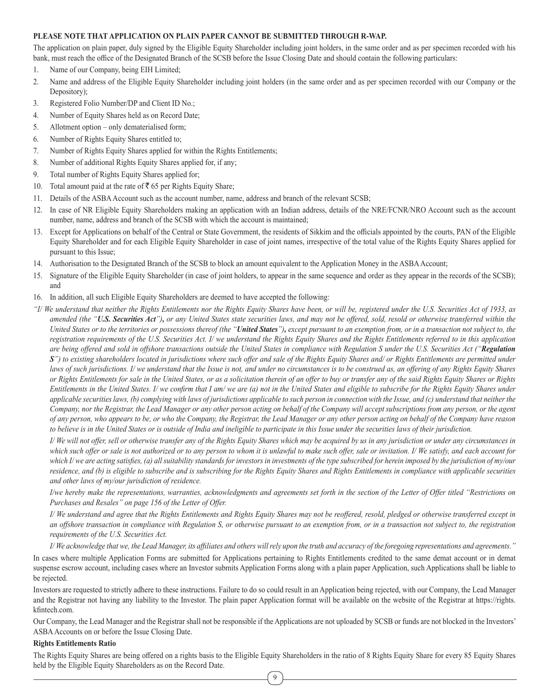## **PLEASE NOTE THAT APPLICATION ON PLAIN PAPER CANNOT BE SUBMITTED THROUGH R-WAP.**

The application on plain paper, duly signed by the Eligible Equity Shareholder including joint holders, in the same order and as per specimen recorded with his bank, must reach the office of the Designated Branch of the SCSB before the Issue Closing Date and should contain the following particulars:

- 1. Name of our Company, being EIH Limited;
- 2. Name and address of the Eligible Equity Shareholder including joint holders (in the same order and as per specimen recorded with our Company or the Depository);
- 3. Registered Folio Number/DP and Client ID No.;
- 4. Number of Equity Shares held as on Record Date;
- 5. Allotment option only dematerialised form;
- 6. Number of Rights Equity Shares entitled to;
- 7. Number of Rights Equity Shares applied for within the Rights Entitlements;
- 8. Number of additional Rights Equity Shares applied for, if any;
- 9. Total number of Rights Equity Shares applied for;
- 10. Total amount paid at the rate of  $\overline{\mathfrak{c}}$  65 per Rights Equity Share;
- 11. Details of the ASBA Account such as the account number, name, address and branch of the relevant SCSB;
- 12. In case of NR Eligible Equity Shareholders making an application with an Indian address, details of the NRE/FCNR/NRO Account such as the account number, name, address and branch of the SCSB with which the account is maintained;
- 13. Except for Applications on behalf of the Central or State Government, the residents of Sikkim and the officials appointed by the courts, PAN of the Eligible Equity Shareholder and for each Eligible Equity Shareholder in case of joint names, irrespective of the total value of the Rights Equity Shares applied for pursuant to this Issue;
- 14. Authorisation to the Designated Branch of the SCSB to block an amount equivalent to the Application Money in the ASBA Account;
- 15. Signature of the Eligible Equity Shareholder (in case of joint holders, to appear in the same sequence and order as they appear in the records of the SCSB); and
- 16. In addition, all such Eligible Equity Shareholders are deemed to have accepted the following:
- *"I/ We understand that neither the Rights Entitlements nor the Rights Equity Shares have been, or will be, registered under the U.S. Securities Act of 1933, as amended (the "U.S. Securities Act"), or any United States state securities laws, and may not be offered, sold, resold or otherwise transferred within the United States or to the territories or possessions thereof (the "United States"), except pursuant to an exemption from, or in a transaction not subject to, the registration requirements of the U.S. Securities Act. I/ we understand the Rights Equity Shares and the Rights Entitlements referred to in this application are being offered and sold in offshore transactions outside the United States in compliance with Regulation S under the U.S. Securities Act ("Regulation S") to existing shareholders located in jurisdictions where such offer and sale of the Rights Equity Shares and/ or Rights Entitlements are permitted under laws of such jurisdictions. I/ we understand that the Issue is not, and under no circumstances is to be construed as, an offering of any Rights Equity Shares or Rights Entitlements for sale in the United States, or as a solicitation therein of an offer to buy or transfer any of the said Rights Equity Shares or Rights Entitlements in the United States. I/ we confirm that I am/ we are (a) not in the United States and eligible to subscribe for the Rights Equity Shares under applicable securities laws, (b) complying with laws of jurisdictions applicable to such person in connection with the Issue, and (c) understand that neither the Company, nor the Registrar, the Lead Manager or any other person acting on behalf of the Company will accept subscriptions from any person, or the agent of any person, who appears to be, or who the Company, the Registrar, the Lead Manager or any other person acting on behalf of the Company have reason to believe is in the United States or is outside of India and ineligible to participate in this Issue under the securities laws of their jurisdiction.*

*I/ We will not offer, sell or otherwise transfer any of the Rights Equity Shares which may be acquired by us in any jurisdiction or under any circumstances in which such offer or sale is not authorized or to any person to whom it is unlawful to make such offer, sale or invitation. I/ We satisfy, and each account for which I/ we are acting satisfies, (a) all suitability standards for investors in investments of the type subscribed for herein imposed by the jurisdiction of my/our residence, and (b) is eligible to subscribe and is subscribing for the Rights Equity Shares and Rights Entitlements in compliance with applicable securities and other laws of my/our jurisdiction of residence.*

*I/we hereby make the representations, warranties, acknowledgments and agreements set forth in the section of the Letter of Offer titled "Restrictions on Purchases and Resales" on page 156 of the Letter of Offer.*

*I/ We understand and agree that the Rights Entitlements and Rights Equity Shares may not be reoffered, resold, pledged or otherwise transferred except in*  an offshore transaction in compliance with Regulation S, or otherwise pursuant to an exemption from, or in a transaction not subject to, the registration *requirements of the U.S. Securities Act.*

*I/ We acknowledge that we, the Lead Manager, its affiliates and others will rely upon the truth and accuracy of the foregoing representations and agreements."*

In cases where multiple Application Forms are submitted for Applications pertaining to Rights Entitlements credited to the same demat account or in demat suspense escrow account, including cases where an Investor submits Application Forms along with a plain paper Application, such Applications shall be liable to be rejected.

Investors are requested to strictly adhere to these instructions. Failure to do so could result in an Application being rejected, with our Company, the Lead Manager and the Registrar not having any liability to the Investor. The plain paper Application format will be available on the website of the Registrar at https://rights. kfintech.com.

Our Company, the Lead Manager and the Registrar shall not be responsible if the Applications are not uploaded by SCSB or funds are not blocked in the Investors' ASBA Accounts on or before the Issue Closing Date.

#### **Rights Entitlements Ratio**

The Rights Equity Shares are being offered on a rights basis to the Eligible Equity Shareholders in the ratio of 8 Rights Equity Share for every 85 Equity Shares held by the Eligible Equity Shareholders as on the Record Date.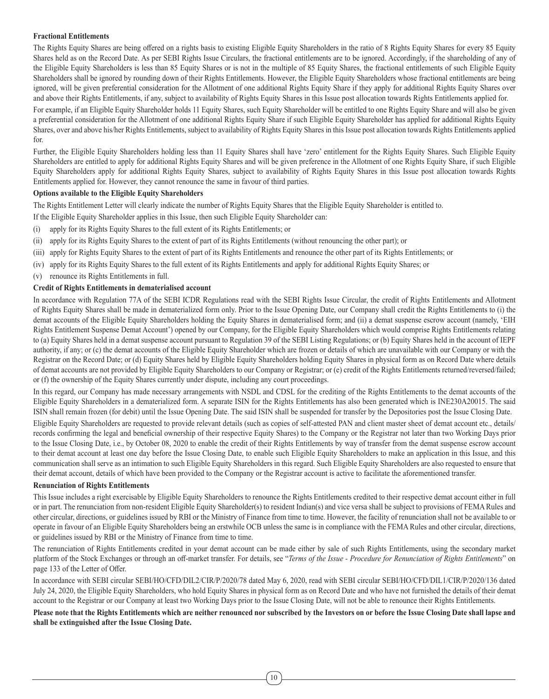# **Fractional Entitlements**

The Rights Equity Shares are being offered on a rights basis to existing Eligible Equity Shareholders in the ratio of 8 Rights Equity Shares for every 85 Equity Shares held as on the Record Date. As per SEBI Rights Issue Circulars, the fractional entitlements are to be ignored. Accordingly, if the shareholding of any of the Eligible Equity Shareholders is less than 85 Equity Shares or is not in the multiple of 85 Equity Shares, the fractional entitlements of such Eligible Equity Shareholders shall be ignored by rounding down of their Rights Entitlements. However, the Eligible Equity Shareholders whose fractional entitlements are being ignored, will be given preferential consideration for the Allotment of one additional Rights Equity Share if they apply for additional Rights Equity Shares over and above their Rights Entitlements, if any, subject to availability of Rights Equity Shares in this Issue post allocation towards Rights Entitlements applied for.

For example, if an Eligible Equity Shareholder holds 11 Equity Shares, such Equity Shareholder will be entitled to one Rights Equity Share and will also be given a preferential consideration for the Allotment of one additional Rights Equity Share if such Eligible Equity Shareholder has applied for additional Rights Equity Shares, over and above his/her Rights Entitlements, subject to availability of Rights Equity Shares in this Issue post allocation towards Rights Entitlements applied for.

Further, the Eligible Equity Shareholders holding less than 11 Equity Shares shall have 'zero' entitlement for the Rights Equity Shares. Such Eligible Equity Shareholders are entitled to apply for additional Rights Equity Shares and will be given preference in the Allotment of one Rights Equity Share, if such Eligible Equity Shareholders apply for additional Rights Equity Shares, subject to availability of Rights Equity Shares in this Issue post allocation towards Rights Entitlements applied for. However, they cannot renounce the same in favour of third parties.

## **Options available to the Eligible Equity Shareholders**

The Rights Entitlement Letter will clearly indicate the number of Rights Equity Shares that the Eligible Equity Shareholder is entitled to.

- If the Eligible Equity Shareholder applies in this Issue, then such Eligible Equity Shareholder can:
- (i) apply for its Rights Equity Shares to the full extent of its Rights Entitlements; or
- (ii) apply for its Rights Equity Shares to the extent of part of its Rights Entitlements (without renouncing the other part); or
- (iii) apply for Rights Equity Shares to the extent of part of its Rights Entitlements and renounce the other part of its Rights Entitlements; or
- (iv) apply for its Rights Equity Shares to the full extent of its Rights Entitlements and apply for additional Rights Equity Shares; or
- (v) renounce its Rights Entitlements in full.

# **Credit of Rights Entitlements in dematerialised account**

In accordance with Regulation 77A of the SEBI ICDR Regulations read with the SEBI Rights Issue Circular, the credit of Rights Entitlements and Allotment of Rights Equity Shares shall be made in dematerialized form only. Prior to the Issue Opening Date, our Company shall credit the Rights Entitlements to (i) the demat accounts of the Eligible Equity Shareholders holding the Equity Shares in dematerialised form; and (ii) a demat suspense escrow account (namely, 'EIH Rights Entitlement Suspense Demat Account') opened by our Company, for the Eligible Equity Shareholders which would comprise Rights Entitlements relating to (a) Equity Shares held in a demat suspense account pursuant to Regulation 39 of the SEBI Listing Regulations; or (b) Equity Shares held in the account of IEPF authority, if any; or (c) the demat accounts of the Eligible Equity Shareholder which are frozen or details of which are unavailable with our Company or with the Registrar on the Record Date; or (d) Equity Shares held by Eligible Equity Shareholders holding Equity Shares in physical form as on Record Date where details of demat accounts are not provided by Eligible Equity Shareholders to our Company or Registrar; or (e) credit of the Rights Entitlements returned/reversed/failed; or (f) the ownership of the Equity Shares currently under dispute, including any court proceedings.

In this regard, our Company has made necessary arrangements with NSDL and CDSL for the crediting of the Rights Entitlements to the demat accounts of the Eligible Equity Shareholders in a dematerialized form. A separate ISIN for the Rights Entitlements has also been generated which is INE230A20015. The said ISIN shall remain frozen (for debit) until the Issue Opening Date. The said ISIN shall be suspended for transfer by the Depositories post the Issue Closing Date.

Eligible Equity Shareholders are requested to provide relevant details (such as copies of self-attested PAN and client master sheet of demat account etc., details/ records confirming the legal and beneficial ownership of their respective Equity Shares) to the Company or the Registrar not later than two Working Days prior to the Issue Closing Date, i.e., by October 08, 2020 to enable the credit of their Rights Entitlements by way of transfer from the demat suspense escrow account to their demat account at least one day before the Issue Closing Date, to enable such Eligible Equity Shareholders to make an application in this Issue, and this communication shall serve as an intimation to such Eligible Equity Shareholders in this regard. Such Eligible Equity Shareholders are also requested to ensure that their demat account, details of which have been provided to the Company or the Registrar account is active to facilitate the aforementioned transfer.

#### **Renunciation of Rights Entitlements**

This Issue includes a right exercisable by Eligible Equity Shareholders to renounce the Rights Entitlements credited to their respective demat account either in full or in part. The renunciation from non-resident Eligible Equity Shareholder(s) to resident Indian(s) and vice versa shall be subject to provisions of FEMA Rules and other circular, directions, or guidelines issued by RBI or the Ministry of Finance from time to time. However, the facility of renunciation shall not be available to or operate in favour of an Eligible Equity Shareholders being an erstwhile OCB unless the same is in compliance with the FEMA Rules and other circular, directions, or guidelines issued by RBI or the Ministry of Finance from time to time.

The renunciation of Rights Entitlements credited in your demat account can be made either by sale of such Rights Entitlements, using the secondary market platform of the Stock Exchanges or through an off-market transfer. For details, see "*Terms of the Issue - Procedure for Renunciation of Rights Entitlements*" on page 133 of the Letter of Offer.

In accordance with SEBI circular SEBI/HO/CFD/DIL2/CIR/P/2020/78 dated May 6, 2020, read with SEBI circular SEBI/HO/CFD/DIL1/CIR/P/2020/136 dated July 24, 2020, the Eligible Equity Shareholders, who hold Equity Shares in physical form as on Record Date and who have not furnished the details of their demat account to the Registrar or our Company at least two Working Days prior to the Issue Closing Date, will not be able to renounce their Rights Entitlements.

**Please note that the Rights Entitlements which are neither renounced nor subscribed by the Investors on or before the Issue Closing Date shall lapse and shall be extinguished after the Issue Closing Date.**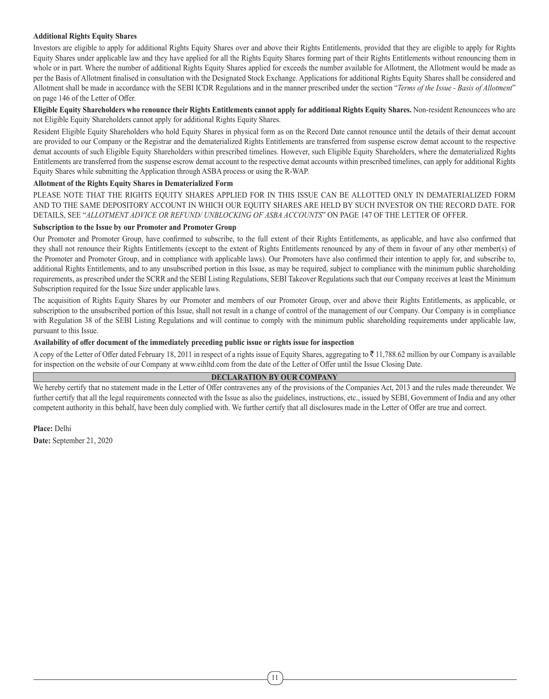#### **Additional Rights Equity Shares**

Investors are eligible to apply for additional Rights Equity Shares over and above their Rights Entitlements, provided that they are eligible to apply for Rights Equity Shares under applicable law and they have applied for all the Rights Equity Shares forming part of their Rights Entitlements without renouncing them in whole or in part. Where the number of additional Rights Equity Shares applied for exceeds the number available for Allotment, the Allotment would be made as per the Basis of Allotment finalised in consultation with the Designated Stock Exchange. Applications for additional Rights Equity Shares shall be considered and Allotment shall be made in accordance with the SEBI ICDR Regulations and in the manner prescribed under the section "*Terms of the Issue - Basis of Allotment*" on page 146 of the Letter of Offer.

**Eligible Equity Shareholders who renounce their Rights Entitlements cannot apply for additional Rights Equity Shares.** Non-resident Renouncees who are not Eligible Equity Shareholders cannot apply for additional Rights Equity Shares.

Resident Eligible Equity Shareholders who hold Equity Shares in physical form as on the Record Date cannot renounce until the details of their demat account are provided to our Company or the Registrar and the dematerialized Rights Entitlements are transferred from suspense escrow demat account to the respective demat accounts of such Eligible Equity Shareholders within prescribed timelines. However, such Eligible Equity Shareholders, where the dematerialized Rights Entitlements are transferred from the suspense escrow demat account to the respective demat accounts within prescribed timelines, can apply for additional Rights Equity Shares while submitting the Application through ASBA process or using the R-WAP.

#### **Allotment of the Rights Equity Shares in Dematerialized Form**

PLEASE NOTE THAT THE RIGHTS EQUITY SHARES APPLIED FOR IN THIS ISSUE CAN BE ALLOTTED ONLY IN DEMATERIALIZED FORM AND TO THE SAME DEPOSITORY ACCOUNT IN WHICH OUR EQUITY SHARES ARE HELD BY SUCH INVESTOR ON THE RECORD DATE. FOR DETAILS, SEE "*ALLOTMENT ADVICE OR REFUND/ UNBLOCKING OF ASBA ACCOUNTS*" ON PAGE 147 OF THE LETTER OF OFFER.

#### **Subscription to the Issue by our Promoter and Promoter Group**

Our Promoter and Promoter Group, have confirmed to subscribe, to the full extent of their Rights Entitlements, as applicable, and have also confirmed that they shall not renounce their Rights Entitlements (except to the extent of Rights Entitlements renounced by any of them in favour of any other member(s) of the Promoter and Promoter Group, and in compliance with applicable laws). Our Promoters have also confirmed their intention to apply for, and subscribe to, additional Rights Entitlements, and to any unsubscribed portion in this Issue, as may be required, subject to compliance with the minimum public shareholding requirements, as prescribed under the SCRR and the SEBI Listing Regulations, SEBI Takeover Regulations such that our Company receives at least the Minimum Subscription required for the Issue Size under applicable laws.

The acquisition of Rights Equity Shares by our Promoter and members of our Promoter Group, over and above their Rights Entitlements, as applicable, or subscription to the unsubscribed portion of this Issue, shall not result in a change of control of the management of our Company. Our Company is in compliance with Regulation 38 of the SEBI Listing Regulations and will continue to comply with the minimum public shareholding requirements under applicable law, pursuant to this Issue.

#### **Availability of offer document of the immediately preceding public issue or rights issue for inspection**

A copy of the Letter of Offer dated February 18, 2011 in respect of a rights issue of Equity Shares, aggregating to  $\bar{\tau}$  11,788.62 million by our Company is available for inspection on the website of our Company at www.eihltd.com from the date of the Letter of Offer until the Issue Closing Date.

#### **DECLARATION BY OUR COMPANY**

We hereby certify that no statement made in the Letter of Offer contravenes any of the provisions of the Companies Act, 2013 and the rules made thereunder. We further certify that all the legal requirements connected with the Issue as also the guidelines, instructions, etc., issued by SEBI, Government of India and any other competent authority in this behalf, have been duly complied with. We further certify that all disclosures made in the Letter of Offer are true and correct.

**Place:** Delhi **Date:** September 21, 2020